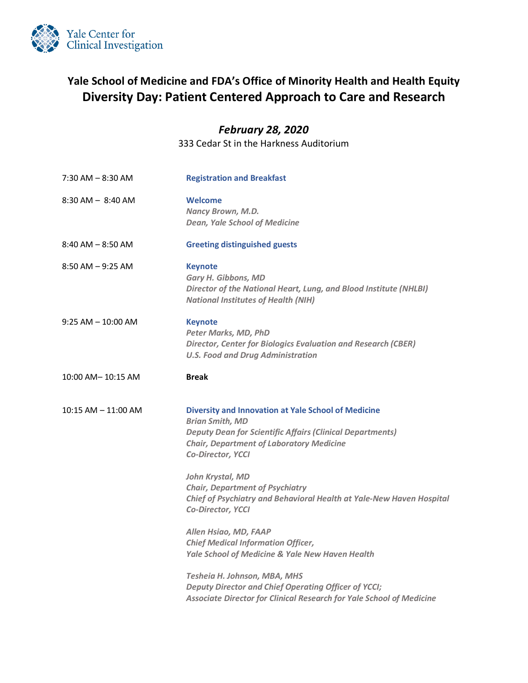

## **Yale School of Medicine and FDA's Office of Minority Health and Health Equity Diversity Day: Patient Centered Approach to Care and Research**

## *February 28, 2020*

333 Cedar St in the Harkness Auditorium

| $7:30$ AM $-8:30$ AM    | <b>Registration and Breakfast</b>                                                                                                                                                                                                                                                                                                                                      |
|-------------------------|------------------------------------------------------------------------------------------------------------------------------------------------------------------------------------------------------------------------------------------------------------------------------------------------------------------------------------------------------------------------|
| $8:30$ AM $-$ 8:40 AM   | Welcome<br>Nancy Brown, M.D.<br><b>Dean, Yale School of Medicine</b>                                                                                                                                                                                                                                                                                                   |
| $8:40$ AM $- 8:50$ AM   | <b>Greeting distinguished guests</b>                                                                                                                                                                                                                                                                                                                                   |
| $8:50$ AM $-9:25$ AM    | <b>Keynote</b><br>Gary H. Gibbons, MD<br>Director of the National Heart, Lung, and Blood Institute (NHLBI)<br><b>National Institutes of Health (NIH)</b>                                                                                                                                                                                                               |
| $9:25 AM - 10:00 AM$    | <b>Keynote</b><br>Peter Marks, MD, PhD<br><b>Director, Center for Biologics Evaluation and Research (CBER)</b><br><b>U.S. Food and Drug Administration</b>                                                                                                                                                                                                             |
| 10:00 AM- 10:15 AM      | <b>Break</b>                                                                                                                                                                                                                                                                                                                                                           |
| $10:15$ AM $-$ 11:00 AM | <b>Diversity and Innovation at Yale School of Medicine</b><br><b>Brian Smith, MD</b><br><b>Deputy Dean for Scientific Affairs (Clinical Departments)</b><br><b>Chair, Department of Laboratory Medicine</b><br>Co-Director, YCCI<br>John Krystal, MD<br><b>Chair, Department of Psychiatry</b><br>Chief of Psychiatry and Behavioral Health at Yale-New Haven Hospital |
|                         | Co-Director, YCCI<br>Allen Hsiao, MD, FAAP                                                                                                                                                                                                                                                                                                                             |
|                         | <b>Chief Medical Information Officer,</b><br><b>Yale School of Medicine &amp; Yale New Haven Health</b>                                                                                                                                                                                                                                                                |
|                         | Tesheia H. Johnson, MBA, MHS<br>Deputy Director and Chief Operating Officer of YCCI;<br>Associate Director for Clinical Research for Yale School of Medicine                                                                                                                                                                                                           |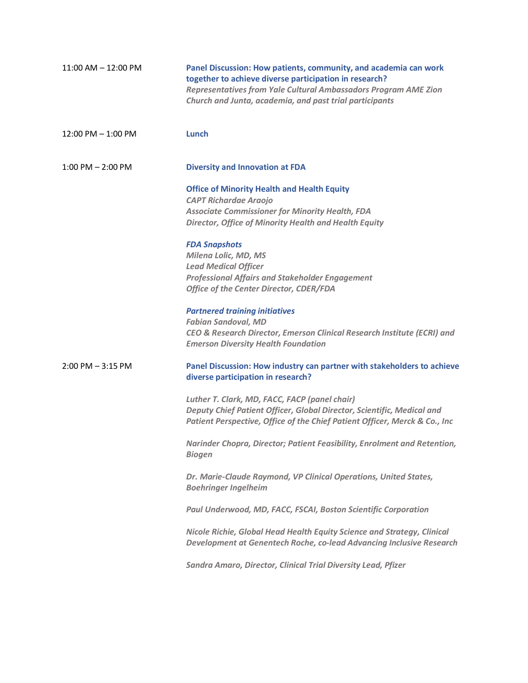| $11:00$ AM $- 12:00$ PM | Panel Discussion: How patients, community, and academia can work<br>together to achieve diverse participation in research?<br><b>Representatives from Yale Cultural Ambassadors Program AME Zion</b><br>Church and Junta, academia, and past trial participants |
|-------------------------|-----------------------------------------------------------------------------------------------------------------------------------------------------------------------------------------------------------------------------------------------------------------|
| $12:00$ PM $-1:00$ PM   | Lunch                                                                                                                                                                                                                                                           |
| $1:00$ PM $- 2:00$ PM   | <b>Diversity and Innovation at FDA</b>                                                                                                                                                                                                                          |
|                         | <b>Office of Minority Health and Health Equity</b><br><b>CAPT Richardae Araojo</b>                                                                                                                                                                              |
|                         | <b>Associate Commissioner for Minority Health, FDA</b><br>Director, Office of Minority Health and Health Equity                                                                                                                                                 |
|                         | <b>FDA Snapshots</b><br>Milena Lolic, MD, MS<br><b>Lead Medical Officer</b><br><b>Professional Affairs and Stakeholder Engagement</b>                                                                                                                           |
|                         | <b>Office of the Center Director, CDER/FDA</b>                                                                                                                                                                                                                  |
|                         | <b>Partnered training initiatives</b><br><b>Fabian Sandoval, MD</b><br>CEO & Research Director, Emerson Clinical Research Institute (ECRI) and<br><b>Emerson Diversity Health Foundation</b>                                                                    |
| $2:00$ PM $-3:15$ PM    | Panel Discussion: How industry can partner with stakeholders to achieve<br>diverse participation in research?                                                                                                                                                   |
|                         | Luther T. Clark, MD, FACC, FACP (panel chair)<br>Deputy Chief Patient Officer, Global Director, Scientific, Medical and<br>Patient Perspective, Office of the Chief Patient Officer, Merck & Co., Inc                                                           |
|                         | Narinder Chopra, Director; Patient Feasibility, Enrolment and Retention,<br><b>Biogen</b>                                                                                                                                                                       |
|                         | Dr. Marie-Claude Raymond, VP Clinical Operations, United States,<br><b>Boehringer Ingelheim</b>                                                                                                                                                                 |
|                         | Paul Underwood, MD, FACC, FSCAI, Boston Scientific Corporation                                                                                                                                                                                                  |
|                         | Nicole Richie, Global Head Health Equity Science and Strategy, Clinical<br>Development at Genentech Roche, co-lead Advancing Inclusive Research                                                                                                                 |
|                         | Sandra Amaro, Director, Clinical Trial Diversity Lead, Pfizer                                                                                                                                                                                                   |